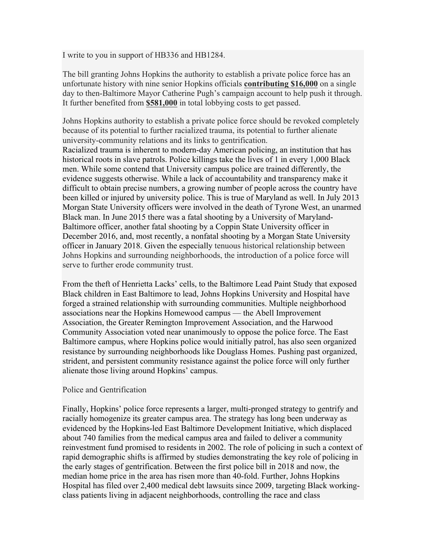I write to you in support of HB336 and HB1284.

The bill granting Johns Hopkins the authority to establish a private police force has an unfortunate history with nine senior Hopkins officials **contributing \$16,000** on a single day to then-Baltimore Mayor Catherine Pugh's campaign account to help push it through. It further benefited from **\$581,000** in total lobbying costs to get passed.

Johns Hopkins authority to establish a private police force should be revoked completely because of its potential to further racialized trauma, its potential to further alienate university-community relations and its links to gentrification. Racialized trauma is inherent to modern-day American policing, an institution that has historical roots in slave patrols. Police killings take the lives of 1 in every 1,000 Black men. While some contend that University campus police are trained differently, the evidence suggests otherwise. While a lack of accountability and transparency make it difficult to obtain precise numbers, a growing number of people across the country have been killed or injured by university police. This is true of Maryland as well. In July 2013 Morgan State University officers were involved in the death of Tyrone West, an unarmed Black man. In June 2015 there was a fatal shooting by a University of Maryland-Baltimore officer, another fatal shooting by a Coppin State University officer in December 2016, and, most recently, a nonfatal shooting by a Morgan State University officer in January 2018. Given the especially tenuous historical relationship between Johns Hopkins and surrounding neighborhoods, the introduction of a police force will serve to further erode community trust.

From the theft of Henrietta Lacks' cells, to the Baltimore Lead Paint Study that exposed Black children in East Baltimore to lead, Johns Hopkins University and Hospital have forged a strained relationship with surrounding communities. Multiple neighborhood associations near the Hopkins Homewood campus — the Abell Improvement Association, the Greater Remington Improvement Association, and the Harwood Community Association voted near unanimously to oppose the police force. The East Baltimore campus, where Hopkins police would initially patrol, has also seen organized resistance by surrounding neighborhoods like Douglass Homes. Pushing past organized, strident, and persistent community resistance against the police force will only further alienate those living around Hopkins' campus.

## Police and Gentrification

Finally, Hopkins' police force represents a larger, multi-pronged strategy to gentrify and racially homogenize its greater campus area. The strategy has long been underway as evidenced by the Hopkins-led East Baltimore Development Initiative, which displaced about 740 families from the medical campus area and failed to deliver a community reinvestment fund promised to residents in 2002. The role of policing in such a context of rapid demographic shifts is affirmed by studies demonstrating the key role of policing in the early stages of gentrification. Between the first police bill in 2018 and now, the median home price in the area has risen more than 40-fold. Further, Johns Hopkins Hospital has filed over 2,400 medical debt lawsuits since 2009, targeting Black workingclass patients living in adjacent neighborhoods, controlling the race and class